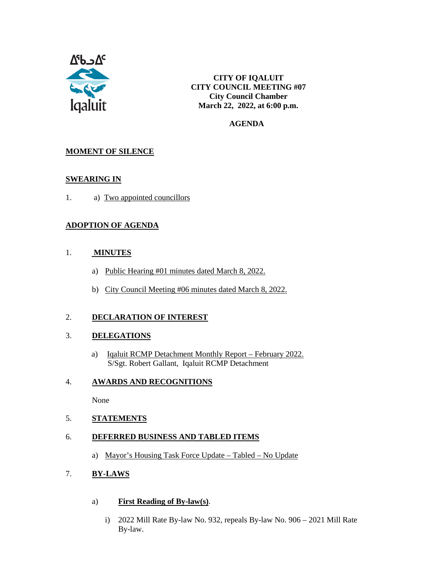

**CITY OF IQALUIT CITY COUNCIL MEETING #07 City Council Chamber March 22, 2022, at 6:00 p.m.**

 **AGENDA**

#### **MOMENT OF SILENCE**

#### **SWEARING IN**

1. a) Two appointed councillors

#### **ADOPTION OF AGENDA**

#### 1. **MINUTES**

- a) Public Hearing #01 minutes dated March 8, 2022.
- b) City Council Meeting #06 minutes dated March 8, 2022.

#### 2. **DECLARATION OF INTEREST**

#### 3. **DELEGATIONS**

a) Iqaluit RCMP Detachment Monthly Report – February 2022. S/Sgt. Robert Gallant, Iqaluit RCMP Detachment

#### 4. **AWARDS AND RECOGNITIONS**

None

#### 5. **STATEMENTS**

#### 6. **DEFERRED BUSINESS AND TABLED ITEMS**

a) Mayor's Housing Task Force Update – Tabled – No Update

#### 7. **BY-LAWS**

- a) **First Reading of By-law(s)**.
	- i) 2022 Mill Rate By-law No. 932, repeals By-law No. 906 2021 Mill Rate By-law.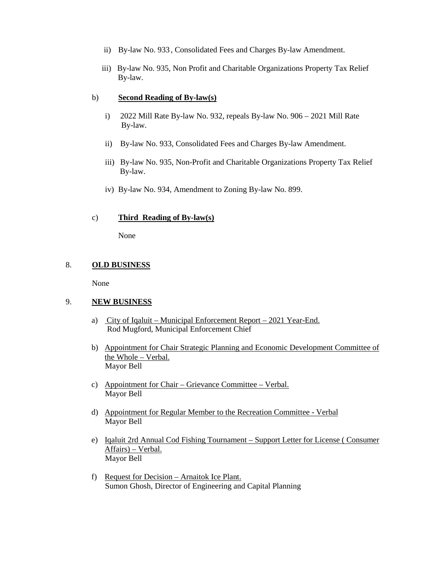- ii) By-law No. 933 , Consolidated Fees and Charges By-law Amendment.
- iii) By-law No. 935, Non Profit and Charitable Organizations Property Tax Relief By-law.

#### b) **Second Reading of By-law(s)**

- i) 2022 Mill Rate By-law No. 932, repeals By-law No. 906 2021 Mill Rate By-law.
- ii) By-law No. 933, Consolidated Fees and Charges By-law Amendment.
- iii) By-law No. 935, Non-Profit and Charitable Organizations Property Tax Relief By-law.
- iv) By-law No. 934, Amendment to Zoning By-law No. 899.

#### c) **Third Reading of By-law(s)**

None

#### 8. **OLD BUSINESS**

None

#### 9. **NEW BUSINESS**

- a) City of Iqaluit Municipal Enforcement Report 2021 Year-End. Rod Mugford, Municipal Enforcement Chief
- b) Appointment for Chair Strategic Planning and Economic Development Committee of the Whole – Verbal. Mayor Bell
- c) Appointment for Chair Grievance Committee Verbal. Mayor Bell
- d) Appointment for Regular Member to the Recreation Committee Verbal Mayor Bell
- e) Iqaluit 2rd Annual Cod Fishing Tournament Support Letter for License ( Consumer Affairs) – Verbal. Mayor Bell
- f) Request for Decision Arnaitok Ice Plant. Sumon Ghosh, Director of Engineering and Capital Planning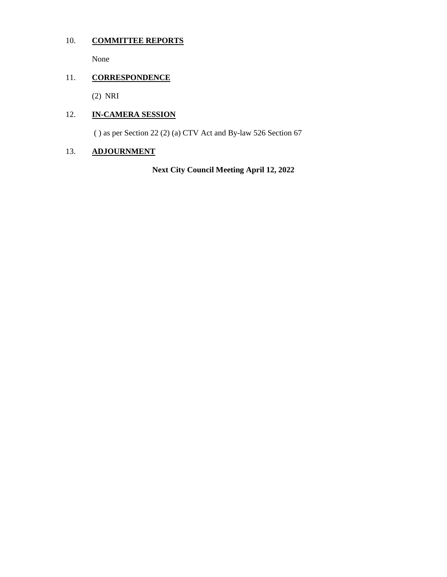## 10. **COMMITTEE REPORTS**

None

## 11. **CORRESPONDENCE**

(2) NRI

### 12. **IN-CAMERA SESSION**

( ) as per Section 22 (2) (a) CTV Act and By-law 526 Section 67

### 13. **ADJOURNMENT**

**Next City Council Meeting April 12, 2022**